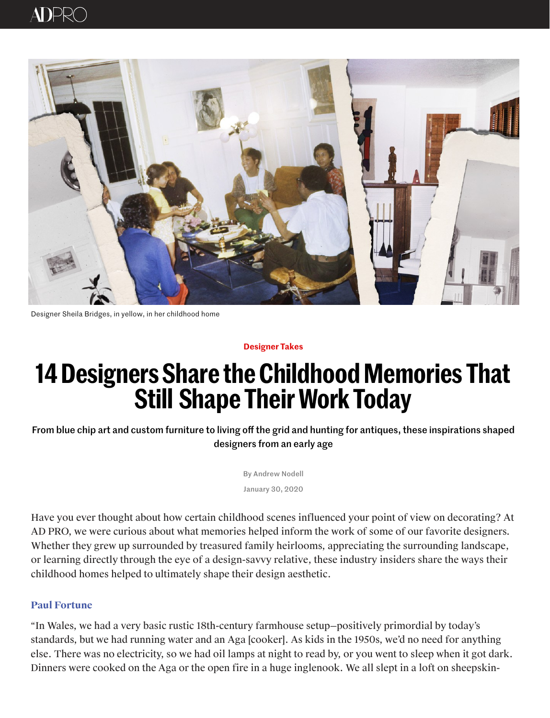Have you ever thought about how certain childhood scenes influenced your point of view on decorating? At AD PRO, we were curious about what memories helped inform the work of some of our favorite designers. Whether they grew up surrounded by treasured family heirlooms, appreciating the surrounding landscape, or learning directly through the eye of a design-savvy relative, these industry insiders share the ways their childhood homes helped to ultimately shape their design aesthetic.

# $\triangle$ D $\triangleright$



Designer Sheila Bridges, in yellow, in her childhood home

**Designer Takes**

# **14 Designers Share the Childhood Memories That Still Sha[pe T](https://www.facebook.com/dialog/feed?&display=popup&caption=14%20Designers%20Share%20the%20Childhood%20Memories%20That%20Still%20Shape%20Their%20Work%20Today&app_id=267091300008193&link=https%3A%2F%2Fwww.architecturaldigest.com%2Fstory%2F14-designers-share-the-childhood-memories-that-still-shape-their-work-today%3Futm_source%3Dfacebook%26utm_medium%3Dsocial%26utm_campaign%3Donsite-share%26utm_brand%3Darchitectural-digest%26utm_social-type%3Dearned)[heir](https://twitter.com/intent/tweet/?url=https%3A%2F%2Fwww.architecturaldigest.com%2Fstory%2F14-designers-share-the-childhood-memories-that-still-shape-their-work-today%3Futm_source%3Dtwitter%26utm_medium%3Dsocial%26utm_campaign%3Donsite-share%26utm_brand%3Darchitectural-digest%26utm_social-type%3Dearned&text=14%20Designers%20Share%20the%20Childhood%20Memories%20That%20Still%20Shape%20Their%20Work%20Today&via=ArchDigest) [Wo](mailto:?subject=14%20Designers%20Share%20the%20Childhood%20Memories%20That%20Still%20Shape%20Their%20Work%20Today&body=https%3A%2F%2Fwww.architecturaldigest.com%2Fstory%2F14-designers-share-the-childhood-memories-that-still-shape-their-work-today%3Futm_source%3Donsite-share%26utm_medium%3Demail%26utm_campaign%3Donsite-share%26utm_brand%3Darchitectural-digest)rk Today**

From blue chip art and custom furniture to living off the grid and hunting for antiques, these inspirations shaped designers from an early age

By [Andrew Nodell](https://www.architecturaldigest.com/contributor/andrew-nodell)

January 30, 2020

#### **Paul Fortune**

"In Wales, we had a very basic rustic 18th-century farmhouse setup—positively primordial by today's standards, but we had running water and an Aga [cooker]. As kids in the 1950s, we'd no need for anything else. There was no electricity, so we had oil lamps at night to read by, or you went to sleep when it got dark. Dinners were cooked on the Aga or the open fire in a huge inglenook. We all slept in a loft on sheepskin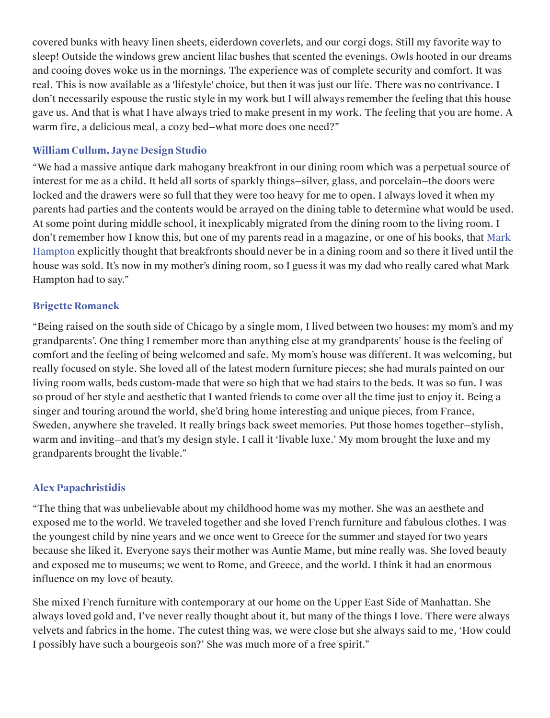covered bunks with heavy linen sheets, eiderdown coverlets, and our corgi dogs. Still my favorite way to sleep! Outside the windows grew ancient lilac bushes that scented the evenings. Owls hooted in our dreams and cooing doves woke us in the mornings. The experience was of complete security and comfort. It was real. This is now available as a 'lifestyle' choice, but then it was just our life. There was no contrivance. I don't necessarily espouse the rustic style in my work but I will always remember the feeling that this house gave us. And that is what I have always tried to make present in my work. The feeling that you are home. A warm fire, a delicious meal, a cozy bed—what more does one need?"

#### **William Cullum, Jayne Design Studio**

"We had a massive antique dark mahogany breakfront in our dining room which was a perpetual source of interest for me as a child. It held all sorts of sparkly things—silver, glass, and porcelain—the doors were locked and the drawers were so full that they were too heavy for me to open. I always loved it when my parents had parties and the contents would be arrayed on the dining table to determine what would be used. At some point during middle school, it inexplicably migrated from the dining room to the living room. I don't remember how I know this, but one of my parents read in a magazine, or one of his books, that Mark Hampton explicitly thought that breakfronts should never be in a dining room and so there it lived until the house was sold. It's now in my mother's dining room, so I guess it was my dad who really cared what Mark Hampton had to say."

#### **Brigette Romanek**

"Being raised on the south side of Chicago by a single mom, I lived between two houses: my mom's and my grandparents'. One thing I remember more than anything else at my grandparents' house is the feeling of comfort and the feeling of being welcomed and safe. My mom's house was different. It was welcoming, but really focused on style. She loved all of the latest modern furniture pieces; she had murals painted on our living room walls, beds custom-made that were so high that we had stairs to the beds. It was so fun. I was so proud of her style and aesthetic that I wanted friends to come over all the time just to enjoy it. Being a singer and touring around the world, she'd bring home interesting and unique pieces, from France, Sweden, anywhere she traveled. It really brings back sweet memories. Put those homes together—stylish, warm and inviting—and that's my design style. I call it 'livable luxe.' My mom brought the luxe and my grandparents brought the livable."

#### **Alex Papachristidis**

"The thing that was unbelievable about my childhood home was my mother. She was an aesthete and exposed me to the world. We traveled together and she loved French furniture and fabulous clothes. I was

the youngest child by nine years and we once went to Greece for the summer and stayed for two years because she liked it. Everyone says their mother was Auntie Mame, but mine really was. She loved beauty and exposed me to museums; we went to Rome, and Greece, and the world. I think it had an enormous influence on my love of beauty.

She mixed French furniture with contemporary at our home on the Upper East Side of Manhattan. She always loved gold and, I've never really thought about it, but many of the things I love. There were always velvets and fabrics in the home. The cutest thing was, we were close but she always said to me, 'How could I possibly have such a bourgeois son?' She was much more of a free spirit."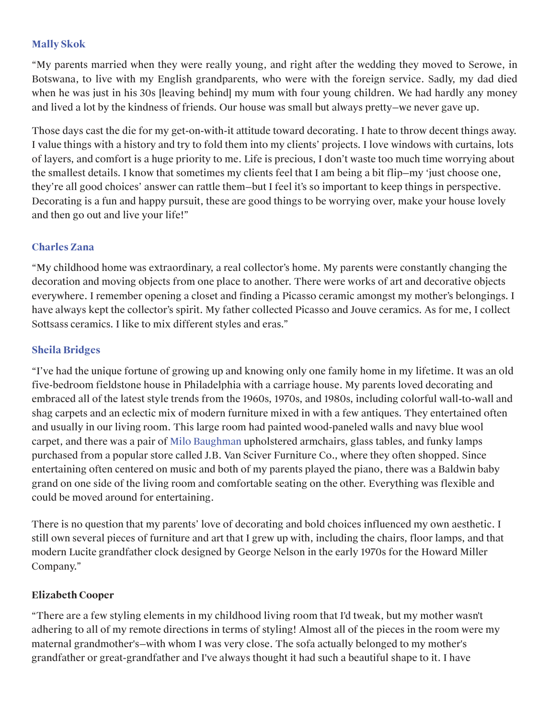#### **[Mally Skok](https://www.architecturaldigest.com/story/mally-skok-south-african-designers-favorite-spots-in-cape-town)**

"My parents married when they were really young, and right after the wedding they moved to Serowe, in Botswana, to live with my English grandparents, who were with the foreign service. Sadly, my dad died when he was just in his 30s [leaving behind] my mum with four young children. We had hardly any money and lived a lot by the kindness of friends. Our house was small but always pretty—we never gave up.

Those days cast the die for my get-on-with-it attitude toward decorating. I hate to throw decent things away. I value things with a history and try to fold them into my clients' projects. I love windows with curtains, lots of layers, and comfort is a huge priority to me. Life is precious, I don't waste too much time worrying about the smallest details. I know that sometimes my clients feel that I am being a bit flip—my 'just choose one, they're all good choices' answer can rattle them—but I feel it's so important to keep things in perspective. Decorating is a fun and happy pursuit, these are good things to be worrying over, make your house lovely and then go out and live your life!"

#### **Charles Zana**

"My childhood home was extraordinary, a real collector's home. My parents were constantly changing the decoration and moving objects from one place to another. There were works of art and decorative objects everywhere. I remember opening a closet and finding a Picasso ceramic amongst my mother's belongings. I have always kept the collector's spirit. My father collected Picasso and Jouve ceramics. As for me, I collect Sottsass ceramics. I like to mix different styles and eras."

#### **Sheila Bridges**

"I've had the unique fortune of growing up and knowing only one family home in my lifetime. It was an old five-bedroom fieldstone house in Philadelphia with a carriage house. My parents loved decorating and embraced all of the latest style trends from the 1960s, 1970s, and 1980s, including colorful wall-to-wall and shag carpets and an eclectic mix of modern furniture mixed in with a few antiques. They entertained often and usually in our living room. This large room had painted wood-paneled walls and navy blue wool carpet, and there was a pair of Milo Baughman upholstered armchairs, glass tables, and funky lamps purchased from a popular store called J.B. Van Sciver Furniture Co., where they often shopped. Since entertaining often centered on music and both of my parents played the piano, there was a Baldwin baby grand on one side of the living room and comfortable seating on the other. Everything was flexible and could be moved around for entertaining.

There is no question that my parents' love of decorating and bold choices influenced my own aesthetic. I

still own several pieces of furniture and art that I grew up with, including the chairs, floor lamps, and that modern Lucite grandfather clock designed by George Nelson in the early 1970s for the Howard Miller Company."

#### **Elizabeth Cooper**

"There are a few styling elements in my childhood living room that I'd tweak, but my mother wasn't adhering to all of my remote directions in terms of styling! Almost all of the pieces in the room were my maternal grandmother's—with whom I was very close. The sofa actually belonged to my mother's grandfather or great-grandfather and I've always thought it had such a beautiful shape to it. I have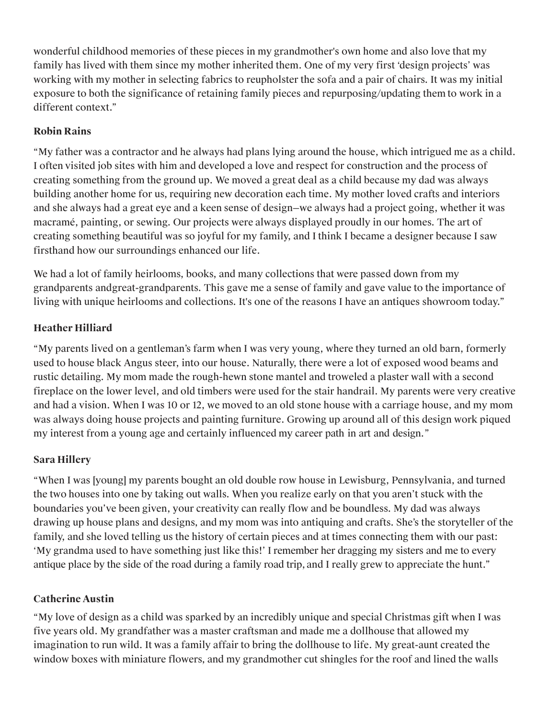wonderful childhood memories of these pieces in my grandmother's own home and also love that my family has lived with them since my mother inherited them. One of my very first 'design projects' was working with my mother in selecting fabrics to reupholster the sofa and a pair of chairs. It was my initial exposure to both the significance of retaining family pieces and repurposing/updating them to work in a different context."

### **Robin Rains**

"My father was a contractor and he always had plans lying around the house, which intrigued me as a child. I often visited job sites with him and developed a love and respect for construction and the process of creating something from the ground up. We moved a great deal as a child because my dad was always building another home for us, [requiring new decoration each time. My mother loved crafts and interiors](https://www.architecturaldigest.com/gallery/midcentury-modern-living-rooms)  and she always had a great eye and a keen sense of design—we always had a project going, whether it was macramé, painting, or sewing. Our projects were always displayed proudly in our homes. The art of creating something beautiful was so joyful for my family, and I think I became a designer because I saw firsthand how our surroundings enhanced our life.

We had a lot of family heirlooms, books, and many collections that were passed down from my grandparents andgreat-grandparents. This gave me a sense of family and gave value to the importance of living with unique heirlooms and collections. It's one of the reasons I have an antiques showroom today."

# **Heather Hilliard**

["My parents lived on a gentleman's farm when I was very young, where they turned an old barn, formerly](https://googleads.g.doubleclick.net/aclk?sa=l&ai=C4pBcwFs4XuqQPIONMIX-t7gMn53flFu_gN_z3gqZkc_xjg4QASDLidYjYMnGqYvApNgPoAHtvZuWA8gBAqgDAcgDyQSqBNQCT9BLF2g5mFxxCuwF7ByyUHspcRtK0GMuFiGLRgYNNbFx4zzUs-TZOf3zQ-w2bVR5FhkqDeRiGGF5jg_9AAlqLhaj1A5F77M5tZdXJRg2cbcLOxV1MFs_340sOT_DHNTOkjEZMypNRpfuUEGTdmxo63c7dVnP6tf12q7zGfTULnVwpPMVm1WeHdgUANmD9d6-vinvxg4ABCLtmCx_GPhkegn4Q7IWz_vHgKZaCqxFR3JryFse4K_Hz36AEXDCnN_6doCp-IsGeQYhzIkIH4oh07wudXK9swtuv1Ulen0JOqmXzqwP9af5ahhqgsS6ifrx-A75cYVxA1Oa5WyRK3rlrPEC1gow8FCV3_pXAsQK4faMNORQaeTgZyURuAIYiO17vVvoNDGeQqkflY0uuVdJD7WsFQjYA0uQ0HKrVN7tGPm6RUKOGXXqkh7nLxx8dTMXTLwmi8AE-KqsoqQCoAYCgAe79-tsqAeOzhuoB9XJG6gHk9gbqAe6BqgH8tkbqAemvhuoB-zVG6gH89EbqAfs1RvYBwHSCAcIgGEQARgA8ggNYmlkZGVyLTU2MjIyMrEJzcK59S4ZEQmACgTICwHYEww&num=1&pr=6:0.800896&sig=AOD64_0ME5tAK58YrRrepBagL53tzSULLw&client=ca-pub-6362111942204036&nb=17&adurl=https://www.perigold.com/gateway.php%3Frefid%3DGX383013538517.~%26position%3Dnone%26network%3Dd%26placement%3Dwww.architecturaldigest.com%26device%3Dc%26devicemodel%3D%26target%3D%26aceid%3D%26image%3D77159127)  used to house black Angus steer, into our house. Naturally, there were a lot of exposed wood beams and rustic detailing. My mom made the rough-hewn stone mantel and troweled a plaster wall with a second fireplace on the lower level, and old timbers were used for the stair handrail. My parents were very creative and had a vision. When I was 10 or 12, we moved to an old stone house with a carriage house, and my mom was always doing house projects and painting furniture. Growing up around all of this design work piqued my interest from a young age and certainly influenced my career path in art and design."

## **Sara Hillery**

"When I was [young] my parents bought an old double row house in Lewisburg, Pennsylvania, and turned the two houses into one by taking out walls. When you realize early on that you aren't stuck with the boundaries you've been given, your creativity can really flow and be boundless. My dad was always drawing up house plans and designs, and my mom was into antiquing and crafts. She's the storyteller of the

family, and she loved telling us the history of certain pieces and at times connecting them with our past: 'My grandma used to have something just like this!' I remember her dragging my sisters and me to every antique place by the side of the road during a family road trip, and I really grew to appreciate the hunt."

#### **Catherine Austin**

"My love of design as a child was sparked by an incredibly unique and special Christmas gift when I was five years old. My grandfather was a master craftsman and made me a dollhouse that allowed my imagination to run wild. It was a family affair to bring the dollhouse to life. My great-aunt created the window boxes with miniature flowers, and my grandmother cut shingles for the roof and lined the walls